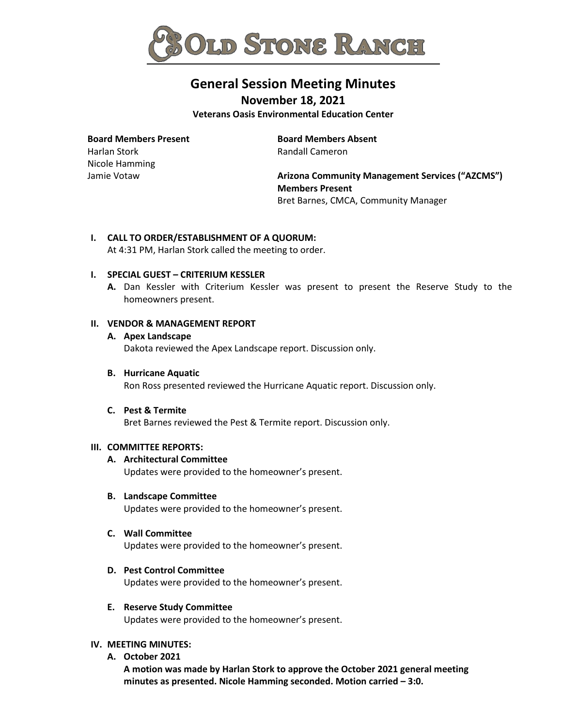

# **General Session Meeting Minutes**

**November 18, 2021**

**Veterans Oasis Environmental Education Center**

**Board Members Present** 

Harlan Stork Nicole Hamming Jamie Votaw

**Board Members Absent** Randall Cameron

**Arizona Community Management Services ("AZCMS") Members Present** Bret Barnes, CMCA, Community Manager

## **I. CALL TO ORDER/ESTABLISHMENT OF A QUORUM:**

At 4:31 PM, Harlan Stork called the meeting to order.

## **I. SPECIAL GUEST – CRITERIUM KESSLER**

**A.** Dan Kessler with Criterium Kessler was present to present the Reserve Study to the homeowners present.

#### **II. VENDOR & MANAGEMENT REPORT**

#### **A. Apex Landscape**

Dakota reviewed the Apex Landscape report. Discussion only.

**B. Hurricane Aquatic** 

Ron Ross presented reviewed the Hurricane Aquatic report. Discussion only.

#### **C. Pest & Termite**

Bret Barnes reviewed the Pest & Termite report. Discussion only.

#### **III. COMMITTEE REPORTS:**

## **A. Architectural Committee**

Updates were provided to the homeowner's present.

#### **B. Landscape Committee**

Updates were provided to the homeowner's present.

## **C. Wall Committee**

Updates were provided to the homeowner's present.

## **D. Pest Control Committee**

Updates were provided to the homeowner's present.

## **E. Reserve Study Committee**

Updates were provided to the homeowner's present.

## **IV. MEETING MINUTES:**

**A. October 2021**

**A motion was made by Harlan Stork to approve the October 2021 general meeting minutes as presented. Nicole Hamming seconded. Motion carried – 3:0.**